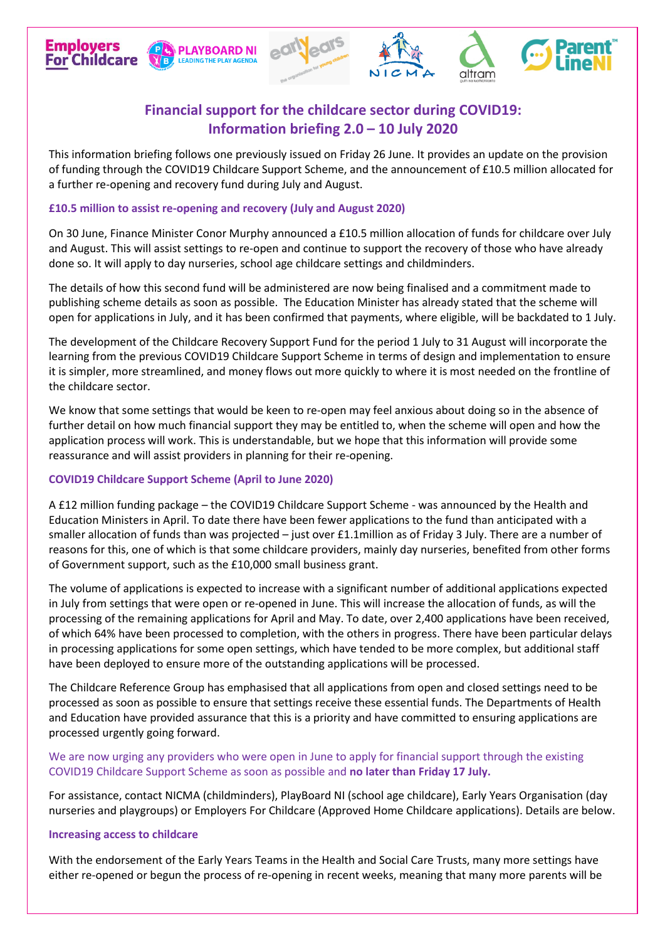# **Financial support for the childcare sector during COVID19: Information briefing 2.0 – 10 July 2020**

This information briefing follows one previously issued on Friday 26 June. It provides an update on the provision of funding through the COVID19 Childcare Support Scheme, and the announcement of £10.5 million allocated for a further re-opening and recovery fund during July and August.

## **£10.5 million to assist re-opening and recovery (July and August 2020)**

**PLAYBOARD NI** 

**LEADING THE PLAY AGE!** 

**Employers** 

**For Childcare** 

On 30 June, Finance Minister Conor Murphy announced a £10.5 million allocation of funds for childcare over July and August. This will assist settings to re-open and continue to support the recovery of those who have already done so. It will apply to day nurseries, school age childcare settings and childminders.

The details of how this second fund will be administered are now being finalised and a commitment made to publishing scheme details as soon as possible. The Education Minister has already stated that the scheme will open for applications in July, and it has been confirmed that payments, where eligible, will be backdated to 1 July.

The development of the Childcare Recovery Support Fund for the period 1 July to 31 August will incorporate the learning from the previous COVID19 Childcare Support Scheme in terms of design and implementation to ensure it is simpler, more streamlined, and money flows out more quickly to where it is most needed on the frontline of the childcare sector.

We know that some settings that would be keen to re-open may feel anxious about doing so in the absence of further detail on how much financial support they may be entitled to, when the scheme will open and how the application process will work. This is understandable, but we hope that this information will provide some reassurance and will assist providers in planning for their re-opening.

# **COVID19 Childcare Support Scheme (April to June 2020)**

A £12 million funding package – the COVID19 Childcare Support Scheme - was announced by the Health and Education Ministers in April. To date there have been fewer applications to the fund than anticipated with a smaller allocation of funds than was projected – just over £1.1million as of Friday 3 July. There are a number of reasons for this, one of which is that some childcare providers, mainly day nurseries, benefited from other forms of Government support, such as the £10,000 small business grant.

The volume of applications is expected to increase with a significant number of additional applications expected in July from settings that were open or re-opened in June. This will increase the allocation of funds, as will the processing of the remaining applications for April and May. To date, over 2,400 applications have been received, of which 64% have been processed to completion, with the others in progress. There have been particular delays in processing applications for some open settings, which have tended to be more complex, but additional staff have been deployed to ensure more of the outstanding applications will be processed.

The Childcare Reference Group has emphasised that all applications from open and closed settings need to be processed as soon as possible to ensure that settings receive these essential funds. The Departments of Health and Education have provided assurance that this is a priority and have committed to ensuring applications are processed urgently going forward.

## We are now urging any providers who were open in June to apply for financial support through the existing COVID19 Childcare Support Scheme as soon as possible and **no later than Friday 17 July.**

For assistance, contact NICMA (childminders), PlayBoard NI (school age childcare), Early Years Organisation (day nurseries and playgroups) or Employers For Childcare (Approved Home Childcare applications). Details are below.

#### **Increasing access to childcare**

With the endorsement of the Early Years Teams in the Health and Social Care Trusts, many more settings have either re-opened or begun the process of re-opening in recent weeks, meaning that many more parents will be